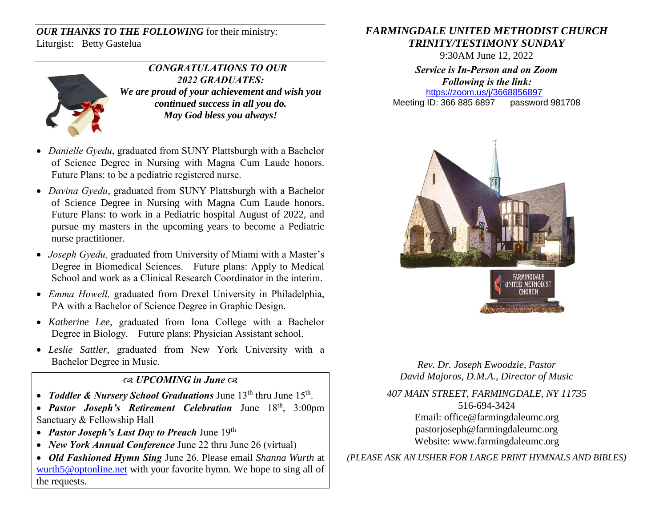*OUR THANKS TO THE FOLLOWING* for their ministry: Liturgist: Betty Gastelua



 *CONGRATULATIONS TO OUR 2022 GRADUATES: We are proud of your achievement and wish you continued success in all you do. May God bless you always!*

- *Danielle Gyedu*, graduated from SUNY Plattsburgh with a Bachelor of Science Degree in Nursing with Magna Cum Laude honors. Future Plans: to be a pediatric registered nurse.
- *Davina Gyedu*, graduated from SUNY Plattsburgh with a Bachelor of Science Degree in Nursing with Magna Cum Laude honors. Future Plans: to work in a Pediatric hospital August of 2022, and pursue my masters in the upcoming years to become a Pediatric nurse practitioner.
- *Joseph Gyedu,* graduated from University of Miami with a Master's Degree in Biomedical Sciences. Future plans: Apply to Medical School and work as a Clinical Research Coordinator in the interim.
- *Emma Howell,* graduated from Drexel University in Philadelphia, PA with a Bachelor of Science Degree in Graphic Design.
- *Katherine Lee,* graduated from Iona College with a Bachelor Degree in Biology. Future plans: Physician Assistant school.
- *Leslie Sattler*, graduated from New York University with a Bachelor Degree in Music.

## *UPCOMING in June*

- *Toddler & Nursery School Graduations* June 13<sup>th</sup> thru June 15<sup>th</sup>.
- *Pastor Joseph's Retirement Celebration* June 18th, 3:00pm Sanctuary & Fellowship Hall
- *Pastor Joseph's Last Day to Preach* June 19th
- *New York Annual Conference* June 22 thru June 26 (virtual)
- *Old Fashioned Hymn Sing* June 26. Please email *Shanna Wurth* at [wurth5@optonline.net](mailto:wurth5@optonline.net) with your favorite hymn. We hope to sing all of the requests.

## *FARMINGDALE UNITED METHODIST CHURCH TRINITY/TESTIMONY SUNDAY*

9:30AM June 12, 2022

*Service is In-Person and on Zoom Following is the link:* <https://zoom.us/j/3668856897> Meeting ID: 366 885 6897 password 981708



*Rev. Dr. Joseph Ewoodzie, Pastor David Majoros, D.M.A., Director of Music*

*407 MAIN STREET, FARMINGDALE, NY 11735* 516-694-3424 Email: [office@farmingdaleumc.org](mailto:office@farmingdaleumc.org) pastorjoseph@farmingdaleumc.org Website: www.farmingdaleumc.org

*(PLEASE ASK AN USHER FOR LARGE PRINT HYMNALS AND BIBLES)*